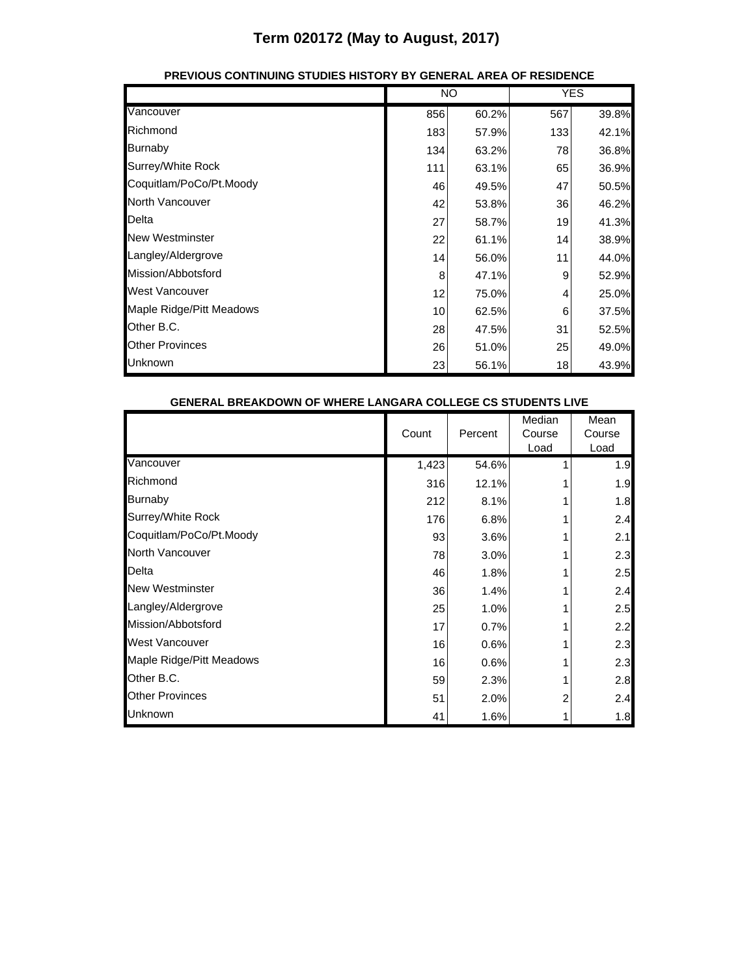|                          | <b>NO</b> |       | <b>YES</b> |       |
|--------------------------|-----------|-------|------------|-------|
| Vancouver                | 856       | 60.2% | 567        | 39.8% |
| Richmond                 | 183       | 57.9% | 133        | 42.1% |
| <b>Burnaby</b>           | 134       | 63.2% | 78         | 36.8% |
| Surrey/White Rock        | 111       | 63.1% | 65         | 36.9% |
| Coquitlam/PoCo/Pt.Moody  | 46        | 49.5% | 47         | 50.5% |
| North Vancouver          | 42        | 53.8% | 36         | 46.2% |
| Delta                    | 27        | 58.7% | 19         | 41.3% |
| <b>New Westminster</b>   | 22        | 61.1% | 14         | 38.9% |
| Langley/Aldergrove       | 14        | 56.0% | 11         | 44.0% |
| Mission/Abbotsford       | 8         | 47.1% | 9          | 52.9% |
| <b>West Vancouver</b>    | 12        | 75.0% | 4          | 25.0% |
| Maple Ridge/Pitt Meadows | 10        | 62.5% | 6          | 37.5% |
| Other B.C.               | 28        | 47.5% | 31         | 52.5% |
| <b>Other Provinces</b>   | 26        | 51.0% | 25         | 49.0% |
| Unknown                  | 23        | 56.1% | 18         | 43.9% |

#### **PREVIOUS CONTINUING STUDIES HISTORY BY GENERAL AREA OF RESIDENCE**

| <u>UENERAL DREARDUWN UF WHERE LANUARA CULLEUE CS STUDENTS LIVE</u> |       |         |                          |                        |
|--------------------------------------------------------------------|-------|---------|--------------------------|------------------------|
|                                                                    | Count | Percent | Median<br>Course<br>Load | Mean<br>Course<br>Load |
| Vancouver                                                          | 1,423 | 54.6%   |                          | 1.9                    |
| Richmond                                                           | 316   | 12.1%   |                          | 1.9                    |
| <b>Burnaby</b>                                                     | 212   | 8.1%    |                          | 1.8                    |
| Surrey/White Rock                                                  | 176   | 6.8%    |                          | 2.4                    |
| Coquitlam/PoCo/Pt.Moody                                            | 93    | 3.6%    |                          | 2.1                    |
| <b>North Vancouver</b>                                             | 78    | 3.0%    |                          | 2.3                    |
| Delta                                                              | 46    | 1.8%    |                          | 2.5                    |
| <b>New Westminster</b>                                             | 36    | 1.4%    |                          | 2.4                    |
| Langley/Aldergrove                                                 | 25    | 1.0%    |                          | 2.5                    |
| Mission/Abbotsford                                                 | 17    | 0.7%    |                          | 2.2                    |
| West Vancouver                                                     | 16    | 0.6%    |                          | 2.3                    |
| Maple Ridge/Pitt Meadows                                           | 16    | 0.6%    |                          | 2.3                    |
| Other B.C.                                                         | 59    | 2.3%    |                          | 2.8                    |
| <b>Other Provinces</b>                                             | 51    | 2.0%    |                          | 2.4                    |
| Unknown                                                            | 41    | 1.6%    |                          | 1.8                    |

#### **GENERAL BREAKDOWN OF WHERE LANGARA COLLEGE CS STUDENTS LIVE**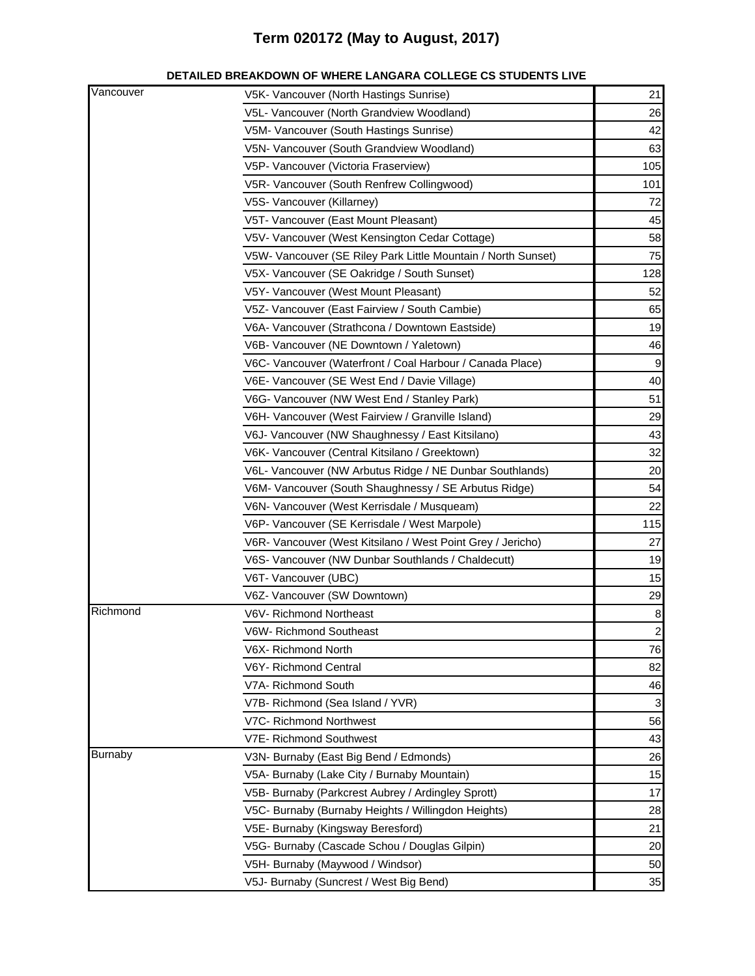| Vancouver      | V5K- Vancouver (North Hastings Sunrise)                       | 21                     |
|----------------|---------------------------------------------------------------|------------------------|
|                | V5L- Vancouver (North Grandview Woodland)                     | 26                     |
|                | V5M- Vancouver (South Hastings Sunrise)                       | 42                     |
|                | V5N- Vancouver (South Grandview Woodland)                     | 63                     |
|                | V5P- Vancouver (Victoria Fraserview)                          | 105                    |
|                | V5R- Vancouver (South Renfrew Collingwood)                    | 101                    |
|                | V5S- Vancouver (Killarney)                                    | 72                     |
|                | V5T- Vancouver (East Mount Pleasant)                          | 45                     |
|                | V5V- Vancouver (West Kensington Cedar Cottage)                | 58                     |
|                | V5W- Vancouver (SE Riley Park Little Mountain / North Sunset) | 75                     |
|                | V5X- Vancouver (SE Oakridge / South Sunset)                   | 128                    |
|                | V5Y- Vancouver (West Mount Pleasant)                          | 52                     |
|                | V5Z- Vancouver (East Fairview / South Cambie)                 | 65                     |
|                | V6A- Vancouver (Strathcona / Downtown Eastside)               | 19                     |
|                | V6B- Vancouver (NE Downtown / Yaletown)                       | 46                     |
|                | V6C- Vancouver (Waterfront / Coal Harbour / Canada Place)     | 9                      |
|                | V6E- Vancouver (SE West End / Davie Village)                  | 40                     |
|                | V6G- Vancouver (NW West End / Stanley Park)                   | 51                     |
|                | V6H- Vancouver (West Fairview / Granville Island)             | 29                     |
|                | V6J- Vancouver (NW Shaughnessy / East Kitsilano)              | 43                     |
|                | V6K- Vancouver (Central Kitsilano / Greektown)                | 32                     |
|                | V6L- Vancouver (NW Arbutus Ridge / NE Dunbar Southlands)      | 20                     |
|                | V6M- Vancouver (South Shaughnessy / SE Arbutus Ridge)         | 54                     |
|                | V6N- Vancouver (West Kerrisdale / Musqueam)                   | 22                     |
|                | V6P- Vancouver (SE Kerrisdale / West Marpole)                 | 115                    |
|                | V6R- Vancouver (West Kitsilano / West Point Grey / Jericho)   | 27                     |
|                | V6S- Vancouver (NW Dunbar Southlands / Chaldecutt)            | 19                     |
|                | V6T- Vancouver (UBC)                                          | 15                     |
|                |                                                               |                        |
| Richmond       | V6Z- Vancouver (SW Downtown)<br>V6V-Richmond Northeast        | 29<br>$\boldsymbol{8}$ |
|                |                                                               | $\mathcal{P}$          |
|                | V6W- Richmond Southeast                                       |                        |
|                | V6X- Richmond North<br>V6Y- Richmond Central                  | 76<br>82               |
|                | V7A- Richmond South                                           | 46                     |
|                | V7B- Richmond (Sea Island / YVR)                              | 3                      |
|                | V7C- Richmond Northwest                                       |                        |
|                | V7E- Richmond Southwest                                       | 56<br>43               |
| <b>Burnaby</b> | V3N- Burnaby (East Big Bend / Edmonds)                        | 26                     |
|                | V5A- Burnaby (Lake City / Burnaby Mountain)                   | 15                     |
|                | V5B- Burnaby (Parkcrest Aubrey / Ardingley Sprott)            | 17                     |
|                |                                                               | 28                     |
|                | V5C- Burnaby (Burnaby Heights / Willingdon Heights)           | 21                     |
|                | V5E- Burnaby (Kingsway Beresford)                             |                        |
|                | V5G- Burnaby (Cascade Schou / Douglas Gilpin)                 | 20<br>50               |
|                | V5H- Burnaby (Maywood / Windsor)                              |                        |
|                | V5J- Burnaby (Suncrest / West Big Bend)                       | 35                     |

#### **DETAILED BREAKDOWN OF WHERE LANGARA COLLEGE CS STUDENTS LIVE**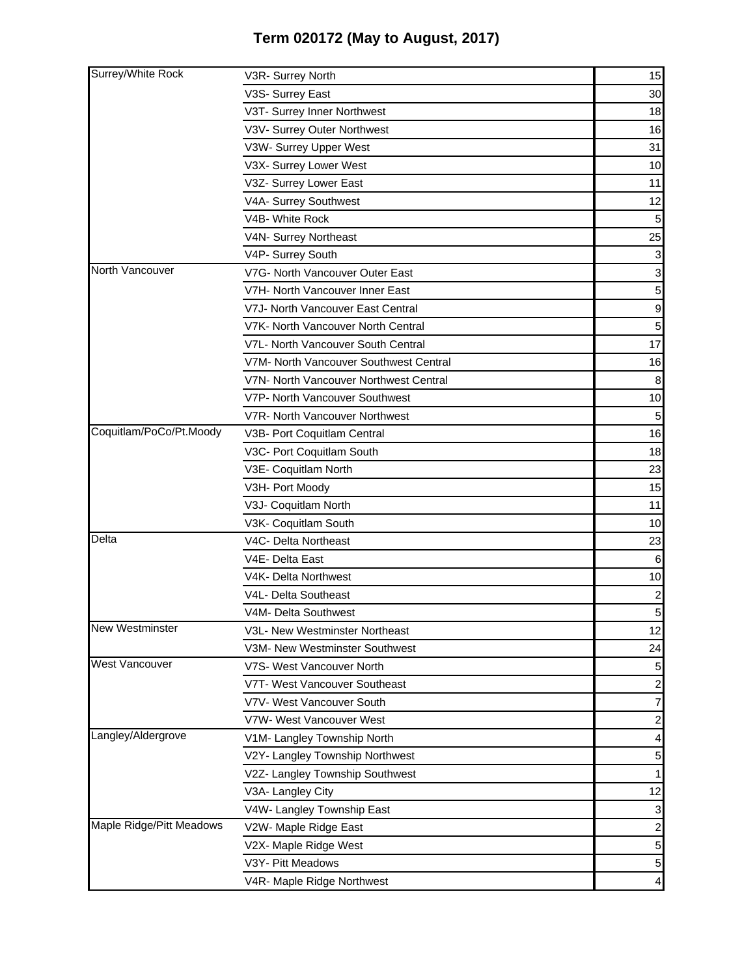| Surrey/White Rock        | V3R- Surrey North                      | 15                      |
|--------------------------|----------------------------------------|-------------------------|
|                          | V3S- Surrey East                       | 30                      |
|                          | V3T- Surrey Inner Northwest            | 18                      |
|                          | V3V- Surrey Outer Northwest            | 16                      |
|                          | V3W- Surrey Upper West                 | 31                      |
|                          | V3X- Surrey Lower West                 | 10                      |
|                          | V3Z- Surrey Lower East                 | 11                      |
|                          | V4A- Surrey Southwest                  | 12                      |
|                          | V4B- White Rock                        | 5 <sub>5</sub>          |
|                          | V4N- Surrey Northeast                  | 25                      |
|                          | V4P- Surrey South                      | $\mathbf{3}$            |
| North Vancouver          | V7G- North Vancouver Outer East        | $\mathbf{3}$            |
|                          | V7H- North Vancouver Inner East        | 5 <sub>l</sub>          |
|                          | V7J- North Vancouver East Central      | $\overline{9}$          |
|                          | V7K- North Vancouver North Central     | 5 <sub>l</sub>          |
|                          | V7L- North Vancouver South Central     | 17                      |
|                          | V7M- North Vancouver Southwest Central | 16                      |
|                          | V7N- North Vancouver Northwest Central | $\boldsymbol{8}$        |
|                          | V7P- North Vancouver Southwest         | 10                      |
|                          | V7R- North Vancouver Northwest         | 5                       |
| Coquitlam/PoCo/Pt.Moody  | V3B- Port Coquitlam Central            | 16                      |
|                          | V3C- Port Coquitlam South              | 18                      |
|                          | V3E- Coquitlam North                   | 23                      |
|                          | V3H- Port Moody                        | 15                      |
|                          | V3J- Coquitlam North                   | 11                      |
|                          | V3K- Coquitlam South                   | 10                      |
| Delta                    | V4C- Delta Northeast                   | 23                      |
|                          | V4E- Delta East                        | $6\phantom{1}$          |
|                          | V4K- Delta Northwest                   | 10                      |
|                          | V4L- Delta Southeast                   | $\mathbf{2}$            |
|                          | V4M- Delta Southwest                   | 5 <sub>l</sub>          |
| <b>New Westminster</b>   | V3L- New Westminster Northeast         | 12                      |
|                          | V3M- New Westminster Southwest         | 24                      |
| <b>West Vancouver</b>    | V7S- West Vancouver North              | 5                       |
|                          | V7T- West Vancouver Southeast          | $\mathbf{2}$            |
|                          | V7V- West Vancouver South              | $\overline{7}$          |
|                          | V7W- West Vancouver West               | $\mathbf{2}$            |
| Langley/Aldergrove       | V1M- Langley Township North            | $\overline{\mathbf{4}}$ |
|                          | V2Y- Langley Township Northwest        | 5 <sub>5</sub>          |
|                          | V2Z- Langley Township Southwest        | 1                       |
|                          | V3A- Langley City                      | 12                      |
|                          | V4W- Langley Township East             | $\mathbf{3}$            |
| Maple Ridge/Pitt Meadows | V2W- Maple Ridge East                  | $\mathbf{2}$            |
|                          | V2X- Maple Ridge West                  | $5\overline{)}$         |
|                          | V3Y- Pitt Meadows                      | $5\overline{)}$         |
|                          | V4R- Maple Ridge Northwest             | $\overline{4}$          |